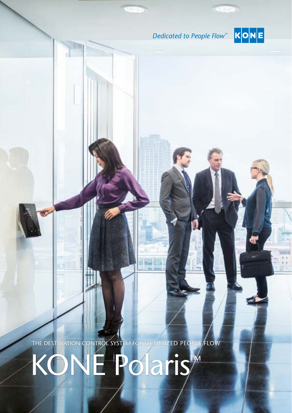



THE DESTINATION CONTROL SYSTEM FOR OPTIMIZED PEOPLE FLOW

KONE Polaris™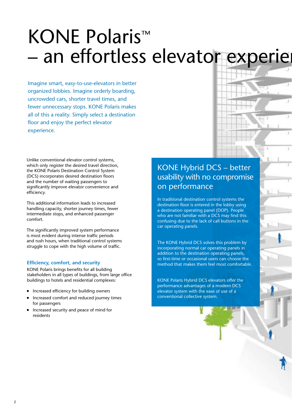## KONE Polaris™ – an effortless elevator experie

Imagine smart, easy-to-use-elevators in better organized lobbies. Imagine orderly boarding, uncrowded cars, shorter travel times, and fewer unnecessary stops. KONE Polaris makes all of this a reality. Simply select a destination floor and enjoy the perfect elevator experience.

Unlike conventional elevator control systems, which only register the desired travel direction, the KONE Polaris Destination Control System (DCS) incorporates desired destination floors and the number of waiting passengers to significantly improve elevator convenience and efficiency.

This additional information leads to increased handling capacity, shorter journey times, fewer intermediate stops, and enhanced passenger comfort.

The significantly improved system performance is most evident during intense traffic periods and rush hours, when traditional control systems struggle to cope with the high volume of traffic.

#### **Efficiency, comfort, and security**

KONE Polaris brings benefits for all building stakeholders in all types of buildings, from large office buildings to hotels and residential complexes:

- n Increased efficiency for building owners
- Increased comfort and reduced journey times for passengers
- Increased security and peace of mind for residents

### KONE Hybrid DCS – better usability with no compromise on performance

In traditional destination control systems the destination floor is entered in the lobby using a destination operating panel (DOP). People who are not familiar with a DCS may find this confusing due to the lack of call buttons in the car operating panels.

The KONE Hybrid DCS solves this problem by incorporating normal car operating panels in addition to the destination operating panels, so first-time or occasional users can choose the method that makes them feel most comfortable.

KONE Polaris Hybrid DCS elevators offer the performance advantages of a modern DCS elevator system with the ease of use of a conventional collective system.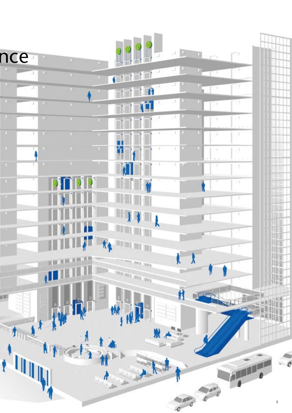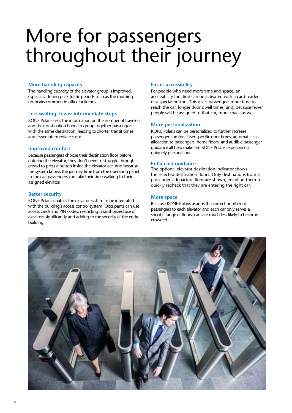## More for passengers throughout their journey

#### **More handling capacity**

The handling capacity of the elevator group is improved, especially during peak traffic periods such as the morning up-peaks common in office buildings.

#### **Less waiting, fewer intermediate stops**

KONE Polaris uses the information on the number of travelers and their destination floors to group together passengers with the same destination, leading to shorter transit times and fewer intermediate stops.

#### **Improved comfort**

Because passengers choose their destination floor before entering the elevator, they don't need to struggle through a crowd to press a button inside the elevator car. And because the system knows the journey time from the operating panel to the car, passengers can take their time walking to their assigned elevator.

#### **Better security**

KONE Polaris enables the elevator system to be integrated with the building's access control system. Occupants can use access cards and PIN codes, restricting unauthorized use of elevators significantly and adding to the security of the entire building.

#### **Easier accessibility**

For people who need more time and space, an accessibility function can be activated with a card reader or a special button. This gives passengers more time to reach the car, longer door dwell times, and, because fewer people will be assigned to that car, more space as well.

#### **More personalization**

KONE Polaris can be personalized to further increase passenger comfort. User-specific door times, automatic call allocation to passengers' home floors, and audible passenger guidance all help make the KONE Polaris experience a uniquely personal one.

#### **Enhanced guidance**

The optional elevator destination indicator shows the selected destination floors. Only destinations from a passenger's departure floor are shown, enabling them to quickly recheck that they are entering the right car.

#### **More space**

Because KONE Polaris assigns the correct number of passengers to each elevator and each car only serves a specific range of floors, cars are much less likely to become crowded.

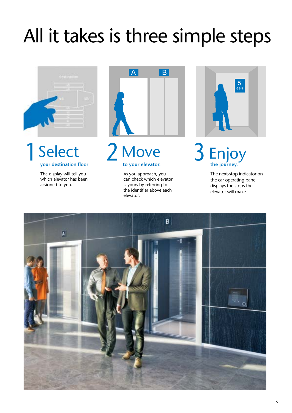# All it takes is three simple steps



# 1 Select 2 Move 3 Enjoy

The display will tell you which elevator has been assigned to you.



As you approach, you can check which elevator is yours by referring to the identifier above each elevator.



**your destination floor to your elevator. the journey.**

The next-stop indicator on the car operating panel displays the stops the elevator will make.

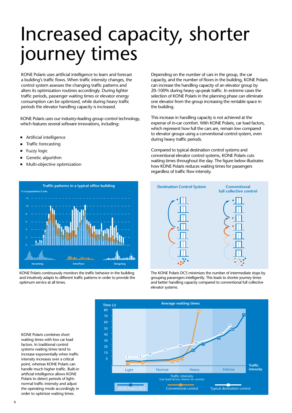## Increased capacity, shorter journey times

KONE Polaris uses artificial intelligence to learn and forecast a building's traffic flows. When traffic intensity changes, the control system assesses the changing traffic patterns and alters its optimization routines accordingly. During lighter traffic periods, passenger waiting times or elevator energy consumption can be optimized, while during heavy traffic periods the elevator handling capacity is increased.

KONE Polaris uses our industry-leading group control technology, which features several software innovations, including:

- **n** Artificial intelligence
- Traffic forecasting
- **Fuzzy logic**
- Genetic algorithm
- Multi-objective optimization



KONE Polaris continuously monitors the traffic behavior in the building and intuitively adapts to different traffic patterns in order to provide the optimum service at all times.

Depending on the number of cars in the group, the car capacity, and the number of floors in the building, KONE Polaris can increase the handling capacity of an elevator group by 20–100% during heavy up-peak traffic. In extreme cases the selection of KONE Polaris in the planning phase can eliminate one elevator from the group increasing the rentable space in the building.

This increase in handling capacity is not achieved at the expense of in-car comfort. With KONE Polaris, car load factors, which represent how full the cars are, remain low compared to elevator groups using a conventional control system, even during heavy traffic periods.

Compared to typical destination control systems and conventional elevator control systems, KONE Polaris cuts waiting times throughout the day. The figure below illustrates how KONE Polaris reduces waiting times for passengers regardless of traffic flow intensity.



The KONE Polaris DCS minimizes the number of intermediate stops by grouping passengers intelligently. This leads to shorter journey times and better handling capacity compared to conventional full collective elevator systems.

KONE Polaris combines short waiting times with low car load factors. In traditional control systems waiting times tend to increase exponentially when traffic intensity increases over a critical point, whereas KONE Polaris can handle much higher traffic. Built-in artificial intelligence allows KONE Polaris to detect periods of lightnormal traffic intensity and adjust the operating mode accordingly in order to optimize waiting times.

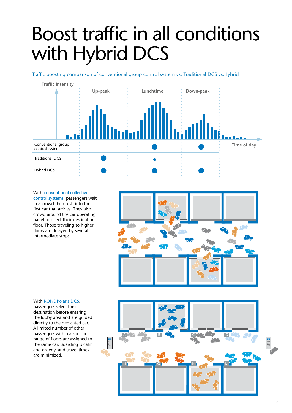## Boost traffic in all conditions with Hybrid DCS

Traffic boosting comparison of conventional group control system vs. Traditional DCS vs. Hybrid



With conventional collective control systems, passengers wait in a crowd then rush into the first car that arrives. They also crowd around the car operating panel to select their destination floor. Those traveling to higher floors are delayed by several intermediate stops.



With KONE Polaris DCS,

passengers select their destination before entering the lobby area and are guided directly to the dedicated car. A limited number of other passengers within a specific range of floors are assigned to the same car. Boarding is calm and orderly, and travel times are minimized.

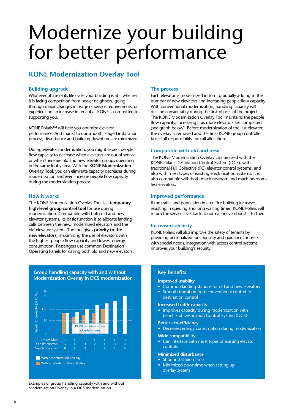### Modernize your building for better performance

### **KONE Modernization Overlay Tool**

#### **Building upgrade**

Whatever phase of its life cycle your building is at – whether it is facing competition from newer neighbors, going through major changes in usage or service requirements, or experiencing an increase in tenants – KONE is committed to supporting you.

KONE Polaris™ will help you optimize elevator performance. And thanks to our smooth, staged installation process, disturbance and building downtime are minimized.

During elevator modernization, you might expect people flow capacity to decrease when elevators are out of service or when there are old and new elevator groups operating in the same lobby area. With the **KONE Modernization Overlay Tool,** you can eliminate capacity decreases during modernization and even increase people flow capacity during the modernization process.

#### **How it works**

The KONE Modernization Overlay Tool is a **temporary high-level group control tool** for use during modernization. Compatible with both old and new elevator systems, its basic function is to allocate landing calls between the new, modernized elevators and the old elevator system. The tool gives **priority to the new elevators**, maximizing the use of elevators with the highest people flow capacity and lowest energy consumption. Passengers use common Destination Operating Panels for calling both old and new elevators.



**Group handling capacity with and without Modernization Overlay in DCS modernization**

#### Examples of group handling capacity with and without Modernization Overlay in a DCS modernization

#### **The process**

Each elevator is modernized in turn, gradually adding to the number of new elevators and increasing people flow capacity. With conventional modernization, handling capacity will decline considerably during the first phases of the project. The KONE Modernization Overlay Tool maintains the people flow capacity, increasing it as more elevators are completed (see graph below). Before modernization of the last elevator, the overlay is removed and the final KONE group controller takes full responsibility for call allocation.

#### **Compatible with old and new**

The KONE Modernization Overlay can be used with the KONE Polaris Destination Control System (DCS), with traditional Full Collective (FC) elevator control systems, and also with most types of existing electrification systems. It is also compatible with both machine-room and machine-roomless elevators.

#### **Improved performance**

If the traffic and population in an office building increases, resulting in queuing and long waiting times, KONE Polaris will return the service level back to normal or even boost it further.

#### **Increased security**

KONE Polaris will also improve the safety of tenants by providing personalized functionality and guidance for users with special needs. Integration with access control systems improves your building's security.

#### **Key benefits**

#### **Improved usability**

- Common landing stations for old and new elevators
- Smooth transition from conventional control to destination control

#### **Increased traffic capacity**

• Improves capacity during modernization with benefits of Destination Control System (DCS)

#### **Better eco-efficiency**

• Decreases energy consumption during modernization

#### **Wide compatibility**

• Can interface with most types of existing elevator controls

#### **Minimized disturbance**

- Short installation time
- Minimized downtime when setting up overlay system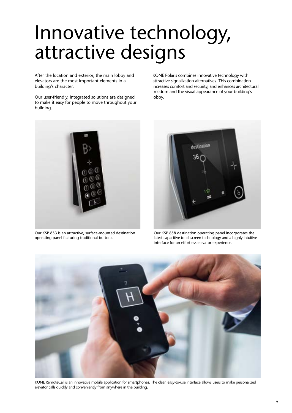### Innovative technology, attractive designs

After the location and exterior, the main lobby and elevators are the most important elements in a building's character.

Our user-friendly, integrated solutions are designed to make it easy for people to move throughout your building.

KONE Polaris combines innovative technology with attractive signalization alternatives. This combination increases comfort and security, and enhances architectural freedom and the visual appearance of your building's lobby.



Our KSP 853 is an attractive, surface-mounted destination operating panel featuring traditional buttons.



Our KSP 858 destination operating panel incorporates the latest capacitive touchscreen technology and a highly intuitive interface for an effortless elevator experience.



KONE RemoteCall is an innovative mobile application for smartphones. The clear, easy-to-use interface allows users to make personalized elevator calls quickly and conveniently from anywhere in the building.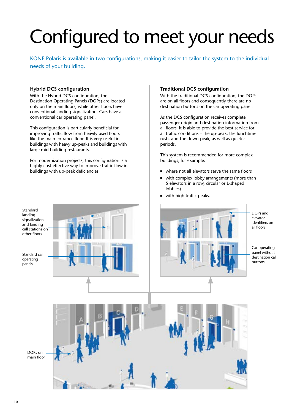# Configured to meet your needs

KONE Polaris is available in two configurations, making it easier to tailor the system to the individual needs of your building.

#### **Hybrid DCS configuration**

With the Hybrid DCS configuration, the Destination Operating Panels (DOPs) are located only on the main floors, while other floors have conventional landing signalization. Cars have a conventional car operating panel.

This configuration is particularly beneficial for improving traffic flow from heavily used floors like the main entrance floor. It is very useful in buildings with heavy up-peaks and buildings with large mid-building restaurants.

For modernization projects, this configuration is a highly cost-effective way to improve traffic flow in buildings with up-peak deficiencies.

#### **Traditional DCS configuration**

With the traditional DCS configuration, the DOPs are on all floors and consequently there are no destination buttons on the car operating panel.

As the DCS configuration receives complete passenger origin and destination information from all floors, it is able to provide the best service for all traffic conditions  $-$  the up-peak, the lunchtime rush, and the down-peak, as well as quieter periods.

This system is recommended for more complex buildings, for example:

- $\blacksquare$  where not all elevators serve the same floors
- $\blacksquare$  with complex lobby arrangements (more than 5 elevators in a row, circular or L-shaped lobbies)



with high traffic peaks.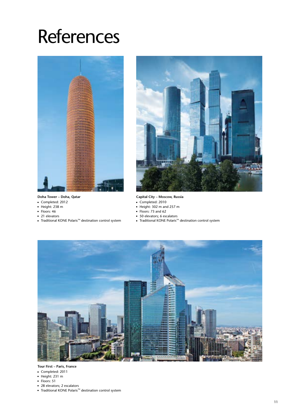### **References**



#### **Doha Tower – Doha, Qatar**

- Completed: 2012
- <sup>n</sup> Height: 238 m
- **Floors: 46**
- **21 elevators**
- Traditional KONE Polaris<sup>™</sup> destination control system



**Capital City – Moscow, Russia** 

- Completed: 2010
- <sup>n</sup> Height: 302 m and 257 m
- Floors: 73 and 62
- **50 elevators; 6 escalators**
- Traditional KONE Polaris™ destination control system



#### **Tour First – Paris, France**

- <sup>n</sup> Completed: 2011
- <sup>n</sup> Height: 231 m
- **Floors: 51**
- 28 elevators; 2 escalators
- Le chemical KONE Polaris™ destination control system